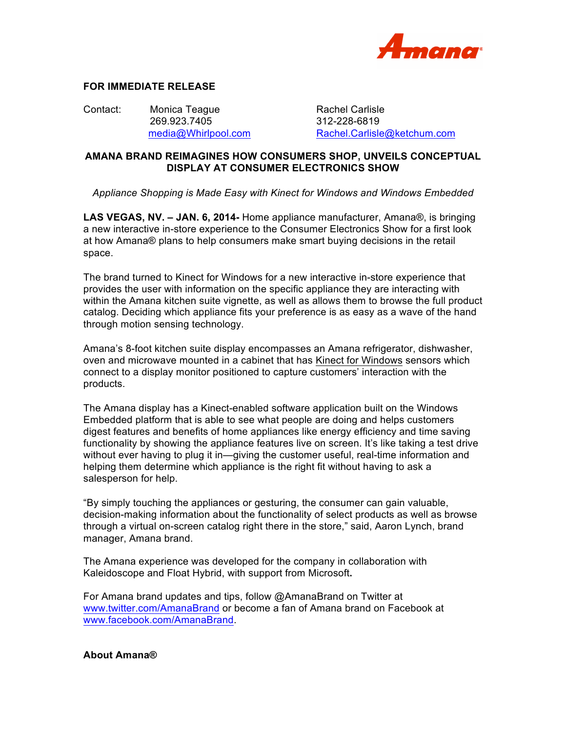

## **FOR IMMEDIATE RELEASE**

Contact: Monica Teague Rachel Carlisle 269.923.7405 312-228-6819

media@Whirlpool.com Rachel.Carlisle@ketchum.com

## **AMANA BRAND REIMAGINES HOW CONSUMERS SHOP, UNVEILS CONCEPTUAL DISPLAY AT CONSUMER ELECTRONICS SHOW**

*Appliance Shopping is Made Easy with Kinect for Windows and Windows Embedded*

**LAS VEGAS, NV. – JAN. 6, 2014-** Home appliance manufacturer, Amana®, is bringing a new interactive in-store experience to the Consumer Electronics Show for a first look at how Amana® plans to help consumers make smart buying decisions in the retail space.

The brand turned to Kinect for Windows for a new interactive in-store experience that provides the user with information on the specific appliance they are interacting with within the Amana kitchen suite vignette, as well as allows them to browse the full product catalog. Deciding which appliance fits your preference is as easy as a wave of the hand through motion sensing technology.

Amana's 8-foot kitchen suite display encompasses an Amana refrigerator, dishwasher, oven and microwave mounted in a cabinet that has Kinect for Windows sensors which connect to a display monitor positioned to capture customers' interaction with the products.

The Amana display has a Kinect-enabled software application built on the Windows Embedded platform that is able to see what people are doing and helps customers digest features and benefits of home appliances like energy efficiency and time saving functionality by showing the appliance features live on screen. It's like taking a test drive without ever having to plug it in—giving the customer useful, real-time information and helping them determine which appliance is the right fit without having to ask a salesperson for help.

"By simply touching the appliances or gesturing, the consumer can gain valuable, decision-making information about the functionality of select products as well as browse through a virtual on-screen catalog right there in the store," said, Aaron Lynch, brand manager, Amana brand.

The Amana experience was developed for the company in collaboration with Kaleidoscope and Float Hybrid, with support from Microsoft**.** 

For Amana brand updates and tips, follow @AmanaBrand on Twitter at www.twitter.com/AmanaBrand or become a fan of Amana brand on Facebook at www.facebook.com/AmanaBrand.

## **About Amana®**